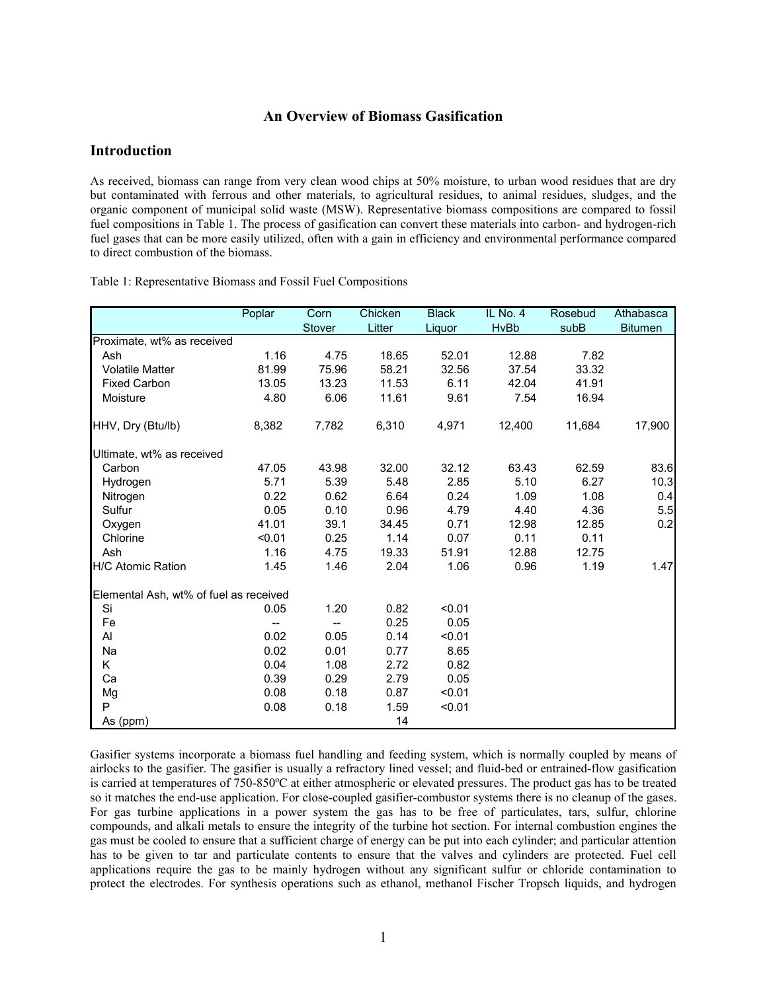# **An Overview of Biomass Gasification**

# **Introduction**

As received, biomass can range from very clean wood chips at 50% moisture, to urban wood residues that are dry but contaminated with ferrous and other materials, to agricultural residues, to animal residues, sludges, and the organic component of municipal solid waste (MSW). Representative biomass compositions are compared to fossil fuel compositions in Table 1. The process of gasification can convert these materials into carbon- and hydrogen-rich fuel gases that can be more easily utilized, often with a gain in efficiency and environmental performance compared to direct combustion of the biomass.

|                                        | Poplar | Corn   | Chicken | <b>Black</b> | IL No. 4    | Rosebud | Athabasca      |
|----------------------------------------|--------|--------|---------|--------------|-------------|---------|----------------|
|                                        |        | Stover | Litter  | Liquor       | <b>HvBb</b> | subB    | <b>Bitumen</b> |
| Proximate, wt% as received             |        |        |         |              |             |         |                |
| Ash                                    | 1.16   | 4.75   | 18.65   | 52.01        | 12.88       | 7.82    |                |
| <b>Volatile Matter</b>                 | 81.99  | 75.96  | 58.21   | 32.56        | 37.54       | 33.32   |                |
| <b>Fixed Carbon</b>                    | 13.05  | 13.23  | 11.53   | 6.11         | 42.04       | 41.91   |                |
| Moisture                               | 4.80   | 6.06   | 11.61   | 9.61         | 7.54        | 16.94   |                |
| HHV, Dry (Btu/lb)                      | 8,382  | 7,782  | 6,310   | 4,971        | 12,400      | 11,684  | 17,900         |
| Ultimate, wt% as received              |        |        |         |              |             |         |                |
| Carbon                                 | 47.05  | 43.98  | 32.00   | 32.12        | 63.43       | 62.59   | 83.6           |
| Hydrogen                               | 5.71   | 5.39   | 5.48    | 2.85         | 5.10        | 6.27    | 10.3           |
| Nitrogen                               | 0.22   | 0.62   | 6.64    | 0.24         | 1.09        | 1.08    | 0.4            |
| Sulfur                                 | 0.05   | 0.10   | 0.96    | 4.79         | 4.40        | 4.36    | 5.5            |
| Oxygen                                 | 41.01  | 39.1   | 34.45   | 0.71         | 12.98       | 12.85   | 0.2            |
| Chlorine                               | < 0.01 | 0.25   | 1.14    | 0.07         | 0.11        | 0.11    |                |
| Ash                                    | 1.16   | 4.75   | 19.33   | 51.91        | 12.88       | 12.75   |                |
| <b>H/C Atomic Ration</b>               | 1.45   | 1.46   | 2.04    | 1.06         | 0.96        | 1.19    | 1.47           |
| Elemental Ash, wt% of fuel as received |        |        |         |              |             |         |                |
| Si                                     | 0.05   | 1.20   | 0.82    | < 0.01       |             |         |                |
| Fe                                     | --     | $- -$  | 0.25    | 0.05         |             |         |                |
| Al                                     | 0.02   | 0.05   | 0.14    | < 0.01       |             |         |                |
| Na                                     | 0.02   | 0.01   | 0.77    | 8.65         |             |         |                |
| K.                                     | 0.04   | 1.08   | 2.72    | 0.82         |             |         |                |
| Ca                                     | 0.39   | 0.29   | 2.79    | 0.05         |             |         |                |
| Mg                                     | 0.08   | 0.18   | 0.87    | < 0.01       |             |         |                |
| P                                      | 0.08   | 0.18   | 1.59    | < 0.01       |             |         |                |
| As (ppm)                               |        |        | 14      |              |             |         |                |

Table 1: Representative Biomass and Fossil Fuel Compositions

Gasifier systems incorporate a biomass fuel handling and feeding system, which is normally coupled by means of airlocks to the gasifier. The gasifier is usually a refractory lined vessel; and fluid-bed or entrained-flow gasification is carried at temperatures of 750-850ºC at either atmospheric or elevated pressures. The product gas has to be treated so it matches the end-use application. For close-coupled gasifier-combustor systems there is no cleanup of the gases. For gas turbine applications in a power system the gas has to be free of particulates, tars, sulfur, chlorine compounds, and alkali metals to ensure the integrity of the turbine hot section. For internal combustion engines the gas must be cooled to ensure that a sufficient charge of energy can be put into each cylinder; and particular attention has to be given to tar and particulate contents to ensure that the valves and cylinders are protected. Fuel cell applications require the gas to be mainly hydrogen without any significant sulfur or chloride contamination to protect the electrodes. For synthesis operations such as ethanol, methanol Fischer Tropsch liquids, and hydrogen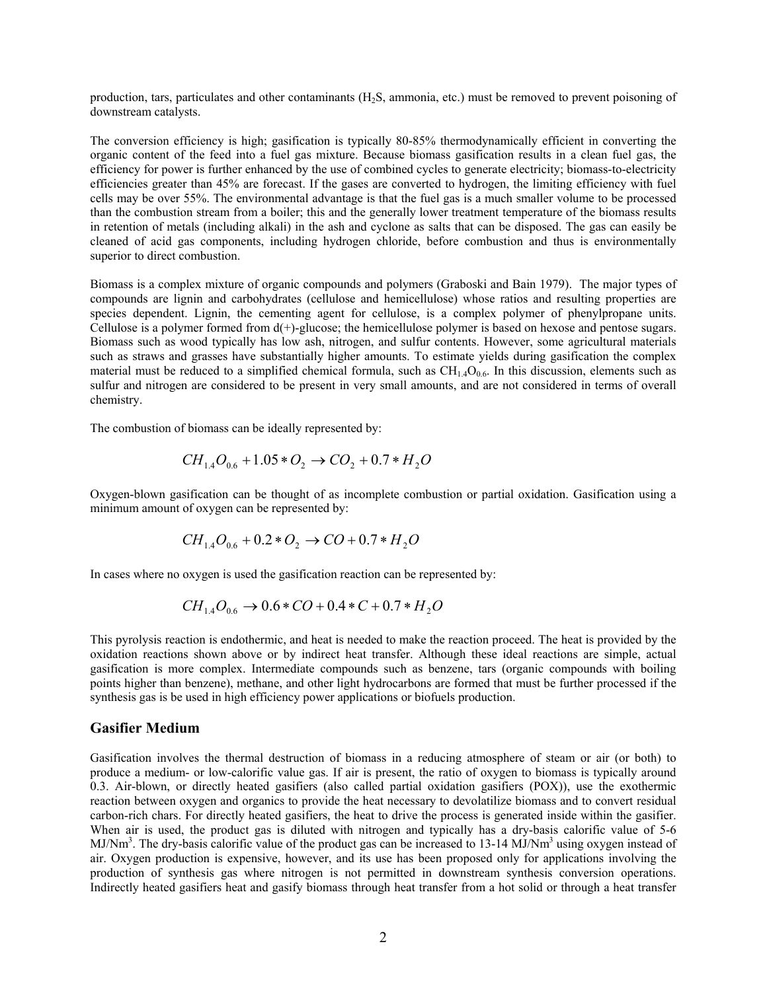production, tars, particulates and other contaminants (H2S, ammonia, etc.) must be removed to prevent poisoning of downstream catalysts.

The conversion efficiency is high; gasification is typically 80-85% thermodynamically efficient in converting the organic content of the feed into a fuel gas mixture. Because biomass gasification results in a clean fuel gas, the efficiency for power is further enhanced by the use of combined cycles to generate electricity; biomass-to-electricity efficiencies greater than 45% are forecast. If the gases are converted to hydrogen, the limiting efficiency with fuel cells may be over 55%. The environmental advantage is that the fuel gas is a much smaller volume to be processed than the combustion stream from a boiler; this and the generally lower treatment temperature of the biomass results in retention of metals (including alkali) in the ash and cyclone as salts that can be disposed. The gas can easily be cleaned of acid gas components, including hydrogen chloride, before combustion and thus is environmentally superior to direct combustion.

Biomass is a complex mixture of organic compounds and polymers (Graboski and Bain 1979). The major types of compounds are lignin and carbohydrates (cellulose and hemicellulose) whose ratios and resulting properties are species dependent. Lignin, the cementing agent for cellulose, is a complex polymer of phenylpropane units. Cellulose is a polymer formed from d(+)-glucose; the hemicellulose polymer is based on hexose and pentose sugars. Biomass such as wood typically has low ash, nitrogen, and sulfur contents. However, some agricultural materials such as straws and grasses have substantially higher amounts. To estimate yields during gasification the complex material must be reduced to a simplified chemical formula, such as  $CH<sub>1.4</sub>O<sub>0.6</sub>$ . In this discussion, elements such as sulfur and nitrogen are considered to be present in very small amounts, and are not considered in terms of overall chemistry.

The combustion of biomass can be ideally represented by:

$$
CH_{1.4}O_{0.6} + 1.05 \cdot O_2 \rightarrow CO_2 + 0.7 \cdot H_2O
$$

Oxygen-blown gasification can be thought of as incomplete combustion or partial oxidation. Gasification using a minimum amount of oxygen can be represented by:

$$
CH_{1.4}O_{0.6} + 0.2 \cdot O_2 \rightarrow CO + 0.7 \cdot H_2O
$$

In cases where no oxygen is used the gasification reaction can be represented by:

$$
CH_{1.4}O_{0.6} \rightarrow 0.6 \times CO + 0.4 \times C + 0.7 \times H_2O
$$

This pyrolysis reaction is endothermic, and heat is needed to make the reaction proceed. The heat is provided by the oxidation reactions shown above or by indirect heat transfer. Although these ideal reactions are simple, actual gasification is more complex. Intermediate compounds such as benzene, tars (organic compounds with boiling points higher than benzene), methane, and other light hydrocarbons are formed that must be further processed if the synthesis gas is be used in high efficiency power applications or biofuels production.

### **Gasifier Medium**

Gasification involves the thermal destruction of biomass in a reducing atmosphere of steam or air (or both) to produce a medium- or low-calorific value gas. If air is present, the ratio of oxygen to biomass is typically around 0.3. Air-blown, or directly heated gasifiers (also called partial oxidation gasifiers (POX)), use the exothermic reaction between oxygen and organics to provide the heat necessary to devolatilize biomass and to convert residual carbon-rich chars. For directly heated gasifiers, the heat to drive the process is generated inside within the gasifier. When air is used, the product gas is diluted with nitrogen and typically has a dry-basis calorific value of 5-6 MJ/Nm<sup>3</sup>. The dry-basis calorific value of the product gas can be increased to 13-14 MJ/Nm<sup>3</sup> using oxygen instead of air. Oxygen production is expensive, however, and its use has been proposed only for applications involving the production of synthesis gas where nitrogen is not permitted in downstream synthesis conversion operations. Indirectly heated gasifiers heat and gasify biomass through heat transfer from a hot solid or through a heat transfer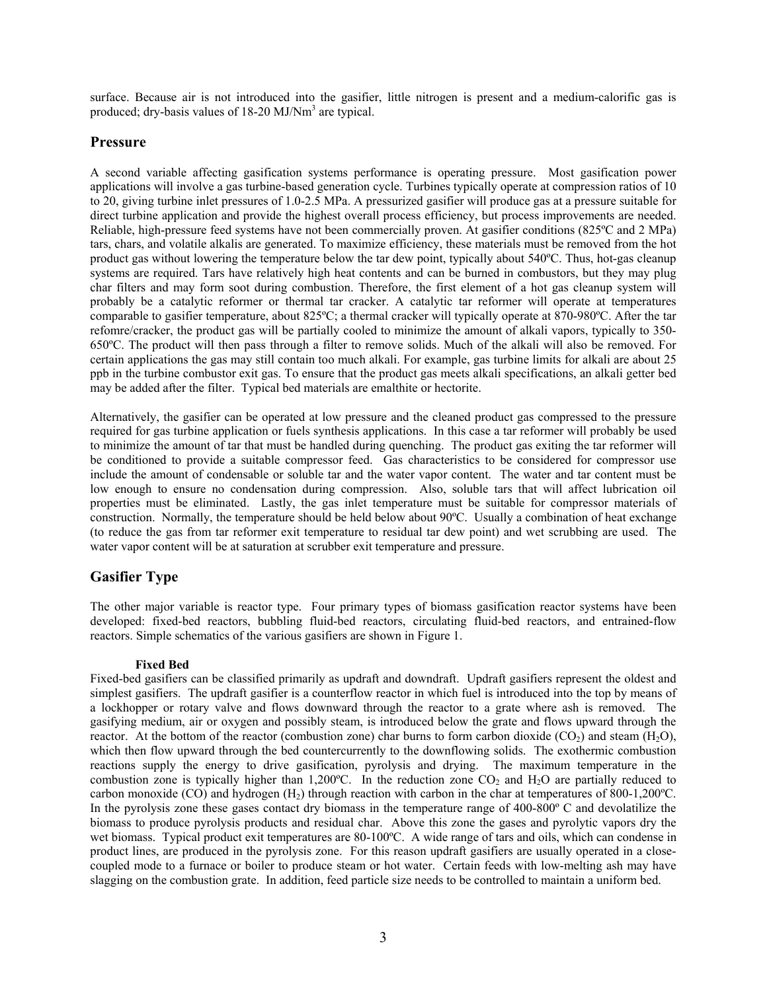surface. Because air is not introduced into the gasifier, little nitrogen is present and a medium-calorific gas is produced; dry-basis values of 18-20 MJ/Nm<sup>3</sup> are typical.

# **Pressure**

A second variable affecting gasification systems performance is operating pressure. Most gasification power applications will involve a gas turbine-based generation cycle. Turbines typically operate at compression ratios of 10 to 20, giving turbine inlet pressures of 1.0-2.5 MPa. A pressurized gasifier will produce gas at a pressure suitable for direct turbine application and provide the highest overall process efficiency, but process improvements are needed. Reliable, high-pressure feed systems have not been commercially proven. At gasifier conditions (825ºC and 2 MPa) tars, chars, and volatile alkalis are generated. To maximize efficiency, these materials must be removed from the hot product gas without lowering the temperature below the tar dew point, typically about 540ºC. Thus, hot-gas cleanup systems are required. Tars have relatively high heat contents and can be burned in combustors, but they may plug char filters and may form soot during combustion. Therefore, the first element of a hot gas cleanup system will probably be a catalytic reformer or thermal tar cracker. A catalytic tar reformer will operate at temperatures comparable to gasifier temperature, about 825ºC; a thermal cracker will typically operate at 870-980ºC. After the tar refomre/cracker, the product gas will be partially cooled to minimize the amount of alkali vapors, typically to 350- 650ºC. The product will then pass through a filter to remove solids. Much of the alkali will also be removed. For certain applications the gas may still contain too much alkali. For example, gas turbine limits for alkali are about 25 ppb in the turbine combustor exit gas. To ensure that the product gas meets alkali specifications, an alkali getter bed may be added after the filter. Typical bed materials are emalthite or hectorite.

Alternatively, the gasifier can be operated at low pressure and the cleaned product gas compressed to the pressure required for gas turbine application or fuels synthesis applications. In this case a tar reformer will probably be used to minimize the amount of tar that must be handled during quenching. The product gas exiting the tar reformer will be conditioned to provide a suitable compressor feed. Gas characteristics to be considered for compressor use include the amount of condensable or soluble tar and the water vapor content. The water and tar content must be low enough to ensure no condensation during compression. Also, soluble tars that will affect lubrication oil properties must be eliminated. Lastly, the gas inlet temperature must be suitable for compressor materials of construction. Normally, the temperature should be held below about 90ºC. Usually a combination of heat exchange (to reduce the gas from tar reformer exit temperature to residual tar dew point) and wet scrubbing are used. The water vapor content will be at saturation at scrubber exit temperature and pressure.

# **Gasifier Type**

The other major variable is reactor type. Four primary types of biomass gasification reactor systems have been developed: fixed-bed reactors, bubbling fluid-bed reactors, circulating fluid-bed reactors, and entrained-flow reactors. Simple schematics of the various gasifiers are shown in Figure 1.

## **Fixed Bed**

Fixed-bed gasifiers can be classified primarily as updraft and downdraft. Updraft gasifiers represent the oldest and simplest gasifiers. The updraft gasifier is a counterflow reactor in which fuel is introduced into the top by means of a lockhopper or rotary valve and flows downward through the reactor to a grate where ash is removed. The gasifying medium, air or oxygen and possibly steam, is introduced below the grate and flows upward through the reactor. At the bottom of the reactor (combustion zone) char burns to form carbon dioxide  $(CO_2)$  and steam  $(H_2O)$ , which then flow upward through the bed countercurrently to the downflowing solids. The exothermic combustion reactions supply the energy to drive gasification, pyrolysis and drying. The maximum temperature in the combustion zone is typically higher than 1,200°C. In the reduction zone  $CO_2$  and  $H_2O$  are partially reduced to carbon monoxide (CO) and hydrogen  $(H_2)$  through reaction with carbon in the char at temperatures of 800-1,200°C. In the pyrolysis zone these gases contact dry biomass in the temperature range of 400-800º C and devolatilize the biomass to produce pyrolysis products and residual char. Above this zone the gases and pyrolytic vapors dry the wet biomass. Typical product exit temperatures are 80-100ºC. A wide range of tars and oils, which can condense in product lines, are produced in the pyrolysis zone. For this reason updraft gasifiers are usually operated in a closecoupled mode to a furnace or boiler to produce steam or hot water. Certain feeds with low-melting ash may have slagging on the combustion grate. In addition, feed particle size needs to be controlled to maintain a uniform bed.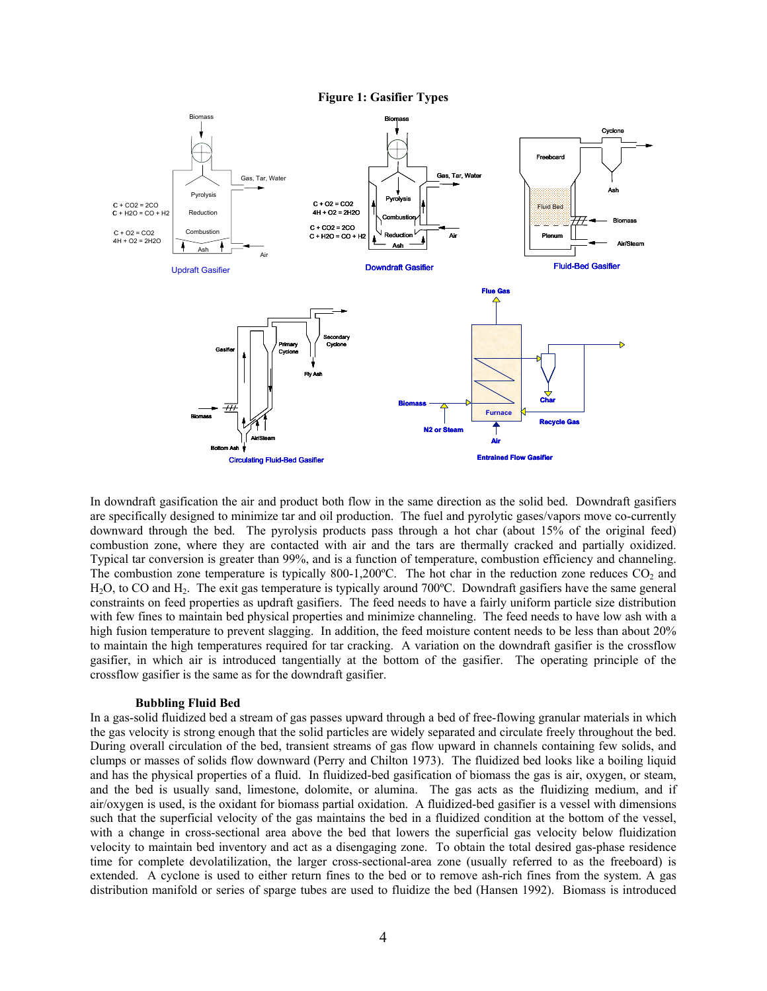**Figure 1: Gasifier Types** 



In downdraft gasification the air and product both flow in the same direction as the solid bed. Downdraft gasifiers are specifically designed to minimize tar and oil production. The fuel and pyrolytic gases/vapors move co-currently downward through the bed. The pyrolysis products pass through a hot char (about 15% of the original feed) combustion zone, where they are contacted with air and the tars are thermally cracked and partially oxidized. Typical tar conversion is greater than 99%, and is a function of temperature, combustion efficiency and channeling. The combustion zone temperature is typically 800-1,200°C. The hot char in the reduction zone reduces  $CO<sub>2</sub>$  and H<sub>2</sub>O, to CO and H<sub>2</sub>. The exit gas temperature is typically around 700°C. Downdraft gasifiers have the same general constraints on feed properties as updraft gasifiers. The feed needs to have a fairly uniform particle size distribution with few fines to maintain bed physical properties and minimize channeling. The feed needs to have low ash with a high fusion temperature to prevent slagging. In addition, the feed moisture content needs to be less than about 20% to maintain the high temperatures required for tar cracking. A variation on the downdraft gasifier is the crossflow gasifier, in which air is introduced tangentially at the bottom of the gasifier. The operating principle of the crossflow gasifier is the same as for the downdraft gasifier.

#### **Bubbling Fluid Bed**

In a gas-solid fluidized bed a stream of gas passes upward through a bed of free-flowing granular materials in which the gas velocity is strong enough that the solid particles are widely separated and circulate freely throughout the bed. During overall circulation of the bed, transient streams of gas flow upward in channels containing few solids, and clumps or masses of solids flow downward (Perry and Chilton 1973). The fluidized bed looks like a boiling liquid and has the physical properties of a fluid. In fluidized-bed gasification of biomass the gas is air, oxygen, or steam, and the bed is usually sand, limestone, dolomite, or alumina. The gas acts as the fluidizing medium, and if air/oxygen is used, is the oxidant for biomass partial oxidation. A fluidized-bed gasifier is a vessel with dimensions such that the superficial velocity of the gas maintains the bed in a fluidized condition at the bottom of the vessel, with a change in cross-sectional area above the bed that lowers the superficial gas velocity below fluidization velocity to maintain bed inventory and act as a disengaging zone. To obtain the total desired gas-phase residence time for complete devolatilization, the larger cross-sectional-area zone (usually referred to as the freeboard) is extended. A cyclone is used to either return fines to the bed or to remove ash-rich fines from the system. A gas distribution manifold or series of sparge tubes are used to fluidize the bed (Hansen 1992). Biomass is introduced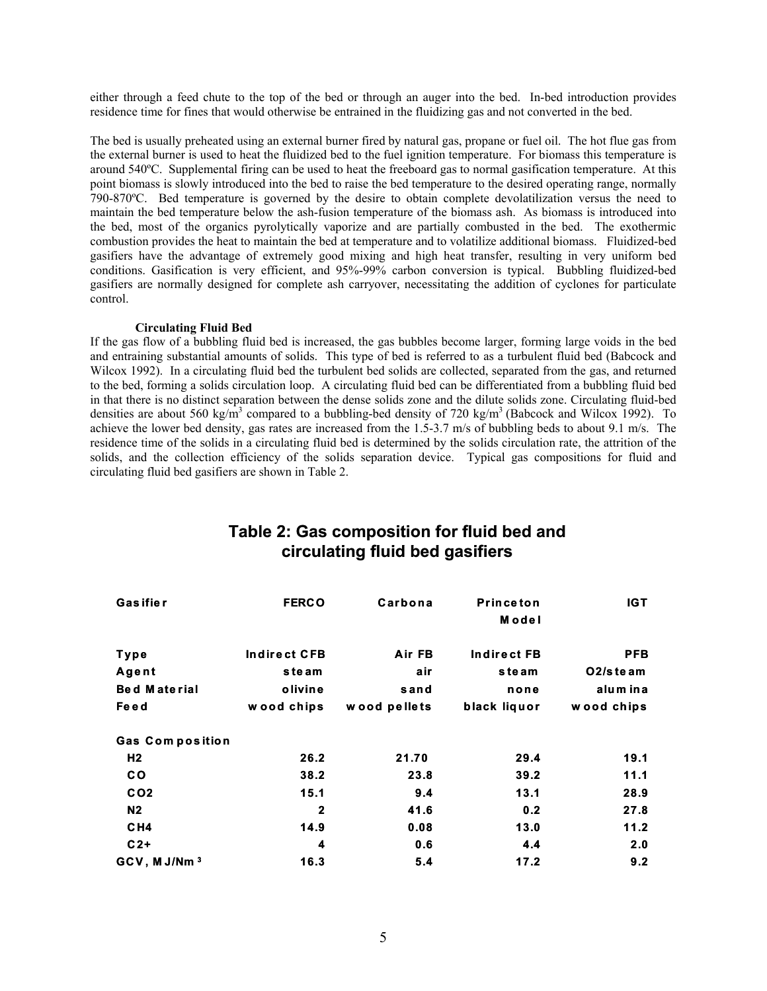either through a feed chute to the top of the bed or through an auger into the bed. In-bed introduction provides residence time for fines that would otherwise be entrained in the fluidizing gas and not converted in the bed.

The bed is usually preheated using an external burner fired by natural gas, propane or fuel oil. The hot flue gas from the external burner is used to heat the fluidized bed to the fuel ignition temperature. For biomass this temperature is around 540ºC. Supplemental firing can be used to heat the freeboard gas to normal gasification temperature. At this point biomass is slowly introduced into the bed to raise the bed temperature to the desired operating range, normally 790-870ºC. Bed temperature is governed by the desire to obtain complete devolatilization versus the need to maintain the bed temperature below the ash-fusion temperature of the biomass ash. As biomass is introduced into the bed, most of the organics pyrolytically vaporize and are partially combusted in the bed. The exothermic combustion provides the heat to maintain the bed at temperature and to volatilize additional biomass. Fluidized-bed gasifiers have the advantage of extremely good mixing and high heat transfer, resulting in very uniform bed conditions. Gasification is very efficient, and 95%-99% carbon conversion is typical. Bubbling fluidized-bed gasifiers are normally designed for complete ash carryover, necessitating the addition of cyclones for particulate control.

#### **Circulating Fluid Bed**

If the gas flow of a bubbling fluid bed is increased, the gas bubbles become larger, forming large voids in the bed and entraining substantial amounts of solids. This type of bed is referred to as a turbulent fluid bed (Babcock and Wilcox 1992). In a circulating fluid bed the turbulent bed solids are collected, separated from the gas, and returned to the bed, forming a solids circulation loop. A circulating fluid bed can be differentiated from a bubbling fluid bed in that there is no distinct separation between the dense solids zone and the dilute solids zone. Circulating fluid-bed densities are about 560 kg/m<sup>3</sup> compared to a bubbling-bed density of 720 kg/m<sup>3</sup> (Babcock and Wilcox 1992). To achieve the lower bed density, gas rates are increased from the 1.5-3.7 m/s of bubbling beds to about 9.1 m/s. The residence time of the solids in a circulating fluid bed is determined by the solids circulation rate, the attrition of the solids, and the collection efficiency of the solids separation device. Typical gas compositions for fluid and circulating fluid bed gasifiers are shown in Table 2.

| Gasifier                 | <b>FERCO</b> | Carbona      | <b>Princeton</b><br>Model | <b>IGT</b>                        |
|--------------------------|--------------|--------------|---------------------------|-----------------------------------|
| Type                     | Indirect CFB | Air FB       | Indirect FB               | <b>PFB</b>                        |
| Agent                    | steam        | air          | steam                     | O <sub>2</sub> / <sub>steam</sub> |
| <b>Bed Material</b>      | olivine      | sand         | none                      | alum in a                         |
| Fe e d                   | wood chips   | wood pellets | black liquor              | wood chips                        |
| <b>Gas Composition</b>   |              |              |                           |                                   |
| H <sub>2</sub>           | 26.2         | 21.70        | 29.4                      | 19.1                              |
| <b>CO</b>                | 38.2         | 23.8         | 39.2                      | 11.1                              |
| CO <sub>2</sub>          | 15.1         | 9.4          | 13.1                      | 28.9                              |
| N <sub>2</sub>           | $\mathbf{2}$ | 41.6         | 0.2                       | 27.8                              |
| CH4                      | 14.9         | 0.08         | 13.0                      | 11.2                              |
| $C2+$                    | 4            | 0.6          | 4.4                       | 2.0                               |
| GCV, M J/Nm <sup>3</sup> | 16.3         | 5.4          | 17.2                      | 9.2                               |

# **Table 2: Gas composition for fluid bed and circulat circulating fluid bed gasifiers ing fluid bed gasifiers**